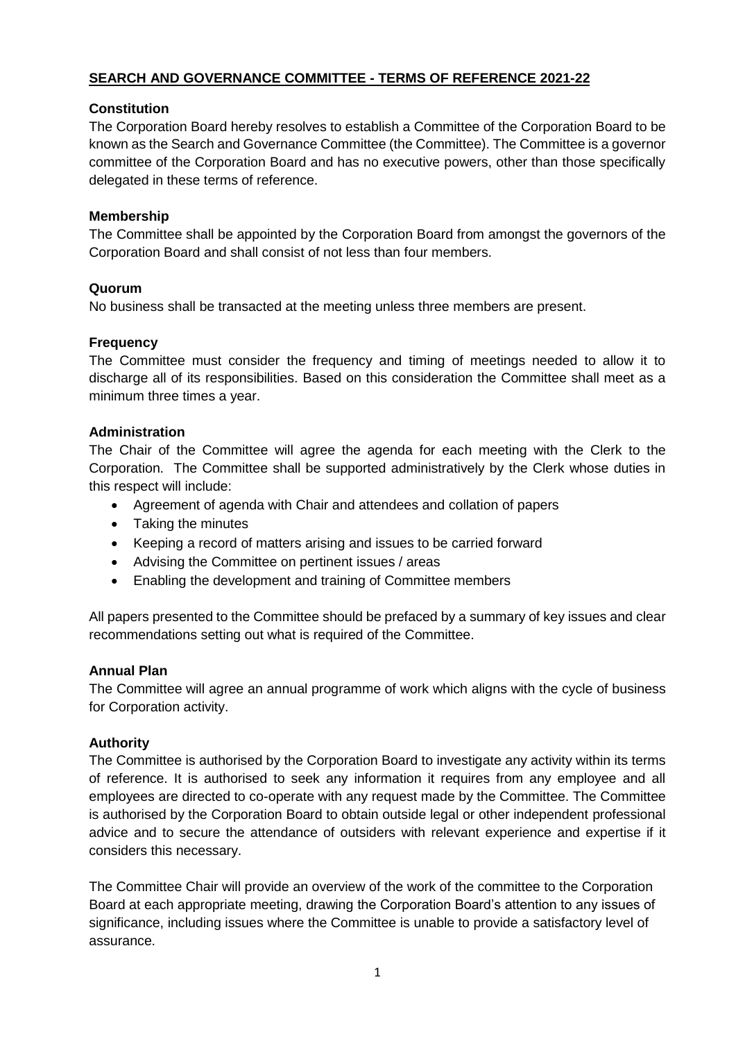## **SEARCH AND GOVERNANCE COMMITTEE - TERMS OF REFERENCE 2021-22**

## **Constitution**

The Corporation Board hereby resolves to establish a Committee of the Corporation Board to be known as the Search and Governance Committee (the Committee). The Committee is a governor committee of the Corporation Board and has no executive powers, other than those specifically delegated in these terms of reference.

#### **Membership**

The Committee shall be appointed by the Corporation Board from amongst the governors of the Corporation Board and shall consist of not less than four members.

#### **Quorum**

No business shall be transacted at the meeting unless three members are present.

## **Frequency**

The Committee must consider the frequency and timing of meetings needed to allow it to discharge all of its responsibilities. Based on this consideration the Committee shall meet as a minimum three times a year.

## **Administration**

The Chair of the Committee will agree the agenda for each meeting with the Clerk to the Corporation. The Committee shall be supported administratively by the Clerk whose duties in this respect will include:

- Agreement of agenda with Chair and attendees and collation of papers
- Taking the minutes
- Keeping a record of matters arising and issues to be carried forward
- Advising the Committee on pertinent issues / areas
- Enabling the development and training of Committee members

All papers presented to the Committee should be prefaced by a summary of key issues and clear recommendations setting out what is required of the Committee.

#### **Annual Plan**

The Committee will agree an annual programme of work which aligns with the cycle of business for Corporation activity.

#### **Authority**

The Committee is authorised by the Corporation Board to investigate any activity within its terms of reference. It is authorised to seek any information it requires from any employee and all employees are directed to co-operate with any request made by the Committee. The Committee is authorised by the Corporation Board to obtain outside legal or other independent professional advice and to secure the attendance of outsiders with relevant experience and expertise if it considers this necessary.

The Committee Chair will provide an overview of the work of the committee to the Corporation Board at each appropriate meeting, drawing the Corporation Board's attention to any issues of significance, including issues where the Committee is unable to provide a satisfactory level of assurance.